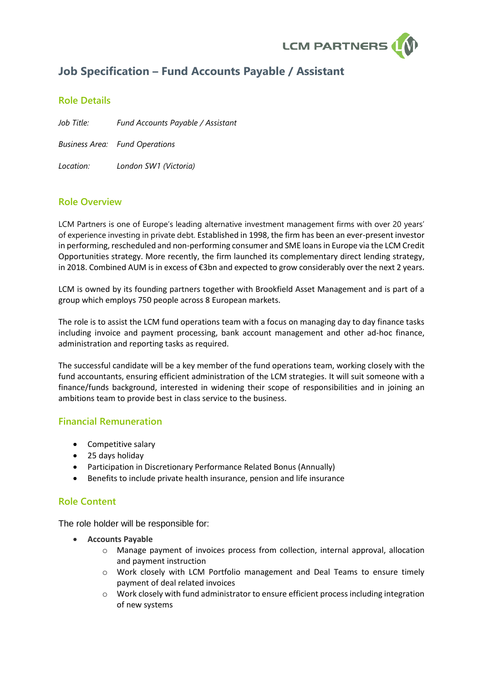

# **Job Specification – Fund Accounts Payable / Assistant**

# **Role Details**

*Job Title: Fund Accounts Payable / Assistant Business Area: Fund Operations Location: London SW1 (Victoria)*

### **Role Overview**

LCM Partners is one of Europe's leading alternative investment management firms with over 20 years' of experience investing in private debt. Established in 1998, the firm has been an ever-present investor in performing, rescheduled and non-performing consumer and SME loansin Europe via the LCM Credit Opportunities strategy. More recently, the firm launched its complementary direct lending strategy, in 2018. Combined AUM is in excess of €3bn and expected to grow considerably over the next 2 years.

LCM is owned by its founding partners together with Brookfield Asset Management and is part of a group which employs 750 people across 8 European markets.

The role is to assist the LCM fund operations team with a focus on managing day to day finance tasks including invoice and payment processing, bank account management and other ad-hoc finance, administration and reporting tasks as required.

The successful candidate will be a key member of the fund operations team, working closely with the fund accountants, ensuring efficient administration of the LCM strategies. It will suit someone with a finance/funds background, interested in widening their scope of responsibilities and in joining an ambitions team to provide best in class service to the business.

### **Financial Remuneration**

- Competitive salary
- 25 days holiday
- Participation in Discretionary Performance Related Bonus (Annually)
- Benefits to include private health insurance, pension and life insurance

### **Role Content**

The role holder will be responsible for:

- **Accounts Payable**
	- o Manage payment of invoices process from collection, internal approval, allocation and payment instruction
	- o Work closely with LCM Portfolio management and Deal Teams to ensure timely payment of deal related invoices
	- o Work closely with fund administrator to ensure efficient process including integration of new systems